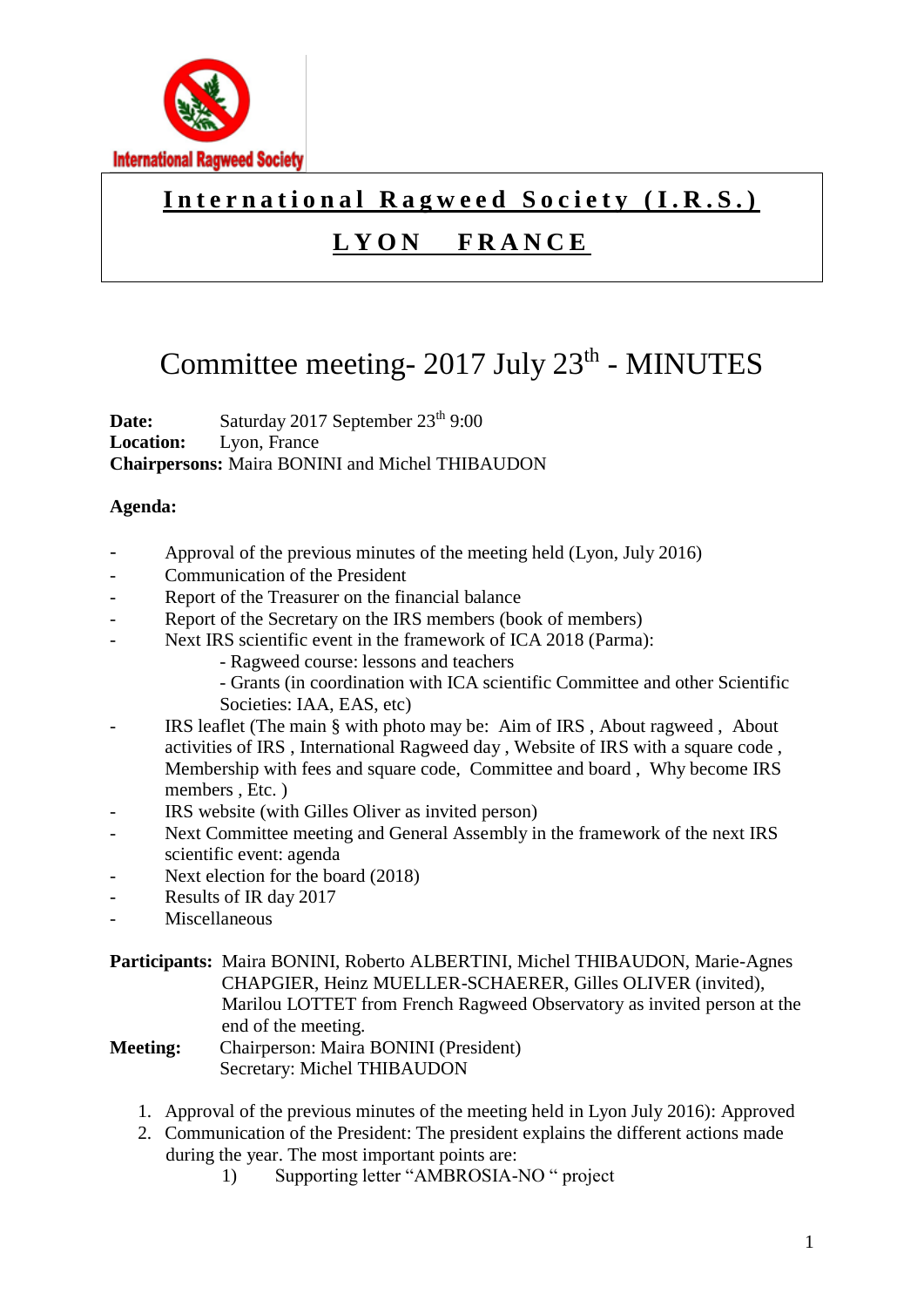

### International Ragweed Society (I.R.S.)

## **L Y O N F R A N C E**

# Committee meeting- 2017 July 23<sup>th</sup> - MINUTES

**Date:** Saturday 2017 September 23<sup>th</sup> 9:00 **Location:** Lyon, France **Chairpersons:** Maira BONINI and Michel THIBAUDON

#### **Agenda:**

- Approval of the previous minutes of the meeting held (Lyon, July 2016)
- Communication of the President
- Report of the Treasurer on the financial balance
- Report of the Secretary on the IRS members (book of members)
- Next IRS scientific event in the framework of ICA 2018 (Parma):
	- Ragweed course: lessons and teachers
	- Grants (in coordination with ICA scientific Committee and other Scientific
	- Societies: IAA, EAS, etc)
- IRS leaflet (The main § with photo may be: Aim of IRS , About ragweed , About activities of IRS , International Ragweed day , Website of IRS with a square code , Membership with fees and square code, Committee and board , Why become IRS members , Etc. )
- IRS website (with Gilles Oliver as invited person)
- Next Committee meeting and General Assembly in the framework of the next IRS scientific event: agenda
- Next election for the board (2018)
- Results of IR day 2017
- **Miscellaneous**
- **Participants:** Maira BONINI, Roberto ALBERTINI, Michel THIBAUDON, Marie-Agnes CHAPGIER, Heinz MUELLER-SCHAERER, Gilles OLIVER (invited), Marilou LOTTET from French Ragweed Observatory as invited person at the end of the meeting.
- **Meeting:** Chairperson: Maira BONINI (President) Secretary: Michel THIBAUDON
	- 1. Approval of the previous minutes of the meeting held in Lyon July 2016): Approved
	- 2. Communication of the President: The president explains the different actions made during the year. The most important points are:
		- 1) Supporting letter "AMBROSIA-NO " project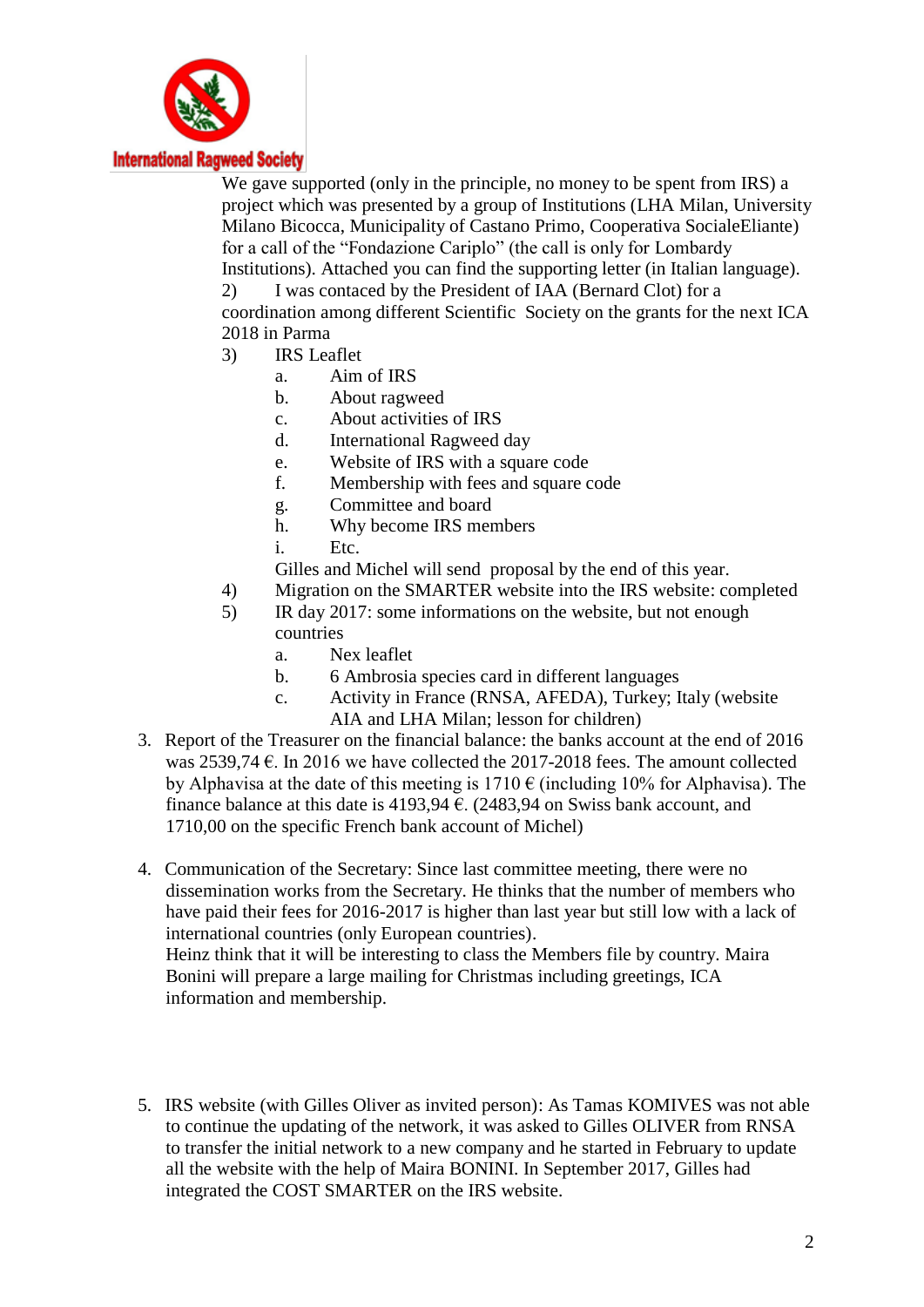

#### **International Ragweed Society**

We gave supported (only in the principle, no money to be spent from IRS) a project which was presented by a group of Institutions (LHA Milan, University Milano Bicocca, Municipality of Castano Primo, Cooperativa SocialeEliante) for a call of the "Fondazione Cariplo" (the call is only for Lombardy Institutions). Attached you can find the supporting letter (in Italian language). 2) I was contaced by the President of IAA (Bernard Clot) for a coordination among different Scientific Society on the grants for the next ICA 2018 in Parma

- 3) IRS Leaflet
	- a. Aim of IRS
	- b. About ragweed
	- c. About activities of IRS
	- d. International Ragweed day
	- e. Website of IRS with a square code
	- f. Membership with fees and square code
	- g. Committee and board
	- h. Why become IRS members
	- i. Etc.
	- Gilles and Michel will send proposal by the end of this year.
- 4) Migration on the SMARTER website into the IRS website: completed
- 5) IR day 2017: some informations on the website, but not enough countries
	- a. Nex leaflet
	- b. 6 Ambrosia species card in different languages
	- c. Activity in France (RNSA, AFEDA), Turkey; Italy (website AIA and LHA Milan; lesson for children)
- 3. Report of the Treasurer on the financial balance: the banks account at the end of 2016 was 2539,74  $\epsilon$ . In 2016 we have collected the 2017-2018 fees. The amount collected by Alphavisa at the date of this meeting is  $1710 \text{ } \in$  (including 10% for Alphavisa). The finance balance at this date is 4193,94  $\epsilon$ . (2483,94 on Swiss bank account, and 1710,00 on the specific French bank account of Michel)
- 4. Communication of the Secretary: Since last committee meeting, there were no dissemination works from the Secretary. He thinks that the number of members who have paid their fees for 2016-2017 is higher than last year but still low with a lack of international countries (only European countries). Heinz think that it will be interesting to class the Members file by country. Maira Bonini will prepare a large mailing for Christmas including greetings, ICA information and membership.
- 5. IRS website (with Gilles Oliver as invited person): As Tamas KOMIVES was not able to continue the updating of the network, it was asked to Gilles OLIVER from RNSA to transfer the initial network to a new company and he started in February to update all the website with the help of Maira BONINI. In September 2017, Gilles had integrated the COST SMARTER on the IRS website.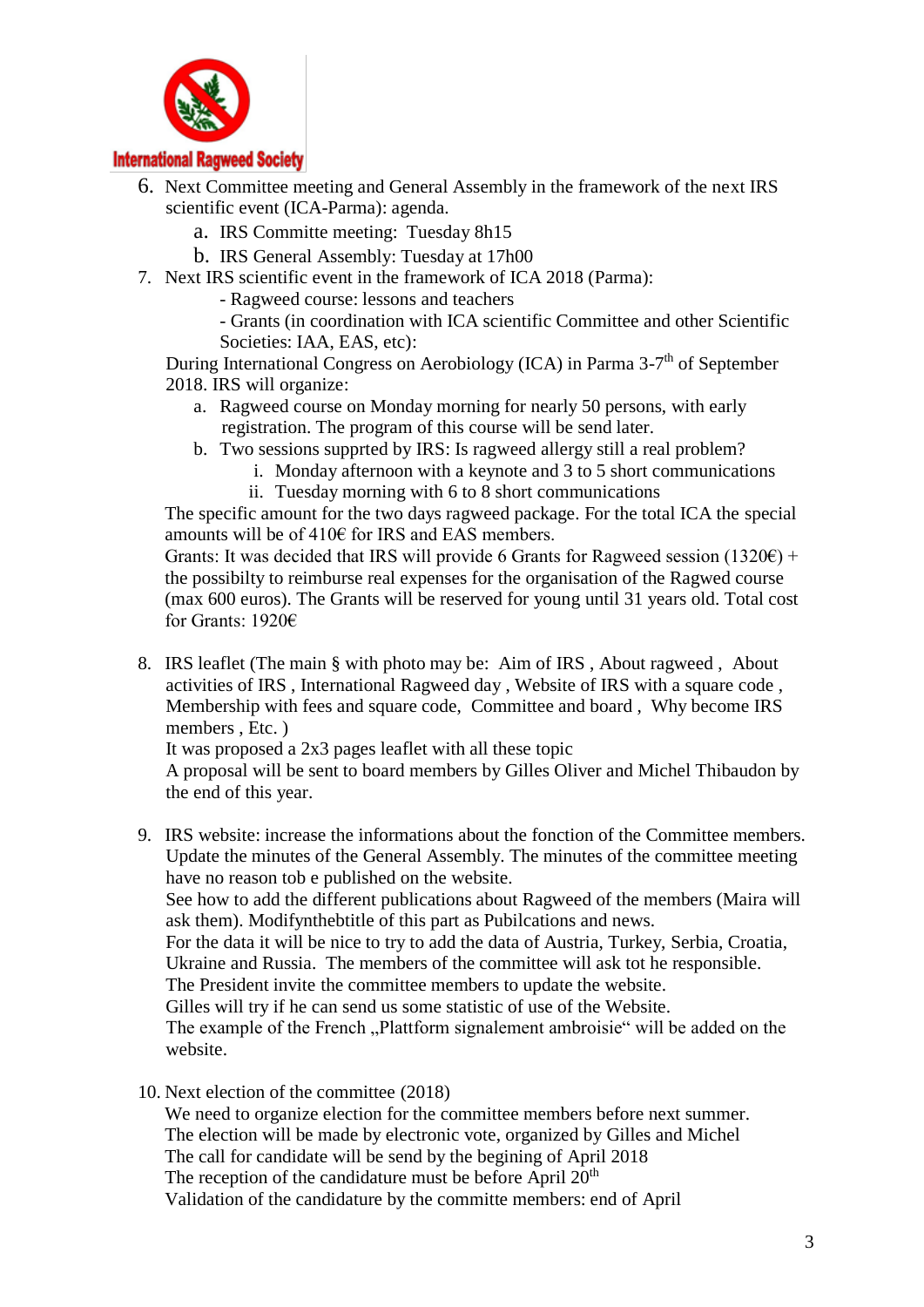

#### **International Ragweed Society**

- 6. Next Committee meeting and General Assembly in the framework of the next IRS scientific event (ICA-Parma): agenda.
	- a. IRS Committe meeting: Tuesday 8h15
	- b. IRS General Assembly: Tuesday at 17h00
- 7. Next IRS scientific event in the framework of ICA 2018 (Parma):

- Ragweed course: lessons and teachers

- Grants (in coordination with ICA scientific Committee and other Scientific Societies: IAA, EAS, etc):

During International Congress on Aerobiology (ICA) in Parma 3-7<sup>th</sup> of September 2018. IRS will organize:

- a. Ragweed course on Monday morning for nearly 50 persons, with early registration. The program of this course will be send later.
- b. Two sessions supprted by IRS: Is ragweed allergy still a real problem?
	- i. Monday afternoon with a keynote and 3 to 5 short communications ii. Tuesday morning with 6 to 8 short communications

The specific amount for the two days ragweed package. For the total ICA the special amounts will be of 410€ for IRS and EAS members.

Grants: It was decided that IRS will provide 6 Grants for Ragweed session (1320 $\epsilon$ ) + the possibilty to reimburse real expenses for the organisation of the Ragwed course (max 600 euros). The Grants will be reserved for young until 31 years old. Total cost for Grants: 1920€

8. IRS leaflet (The main § with photo may be: Aim of IRS , About ragweed , About activities of IRS , International Ragweed day , Website of IRS with a square code , Membership with fees and square code, Committee and board , Why become IRS members , Etc. )

It was proposed a 2x3 pages leaflet with all these topic

A proposal will be sent to board members by Gilles Oliver and Michel Thibaudon by the end of this year.

9. IRS website: increase the informations about the fonction of the Committee members. Update the minutes of the General Assembly. The minutes of the committee meeting have no reason tob e published on the website.

See how to add the different publications about Ragweed of the members (Maira will ask them). Modifynthebtitle of this part as Pubilcations and news.

For the data it will be nice to try to add the data of Austria, Turkey, Serbia, Croatia, Ukraine and Russia. The members of the committee will ask tot he responsible.

The President invite the committee members to update the website.

Gilles will try if he can send us some statistic of use of the Website.

The example of the French "Plattform signalement ambroisie" will be added on the website.

10. Next election of the committee (2018)

We need to organize election for the committee members before next summer. The election will be made by electronic vote, organized by Gilles and Michel The call for candidate will be send by the begining of April 2018 The reception of the candidature must be before April  $20<sup>th</sup>$ Validation of the candidature by the committe members: end of April